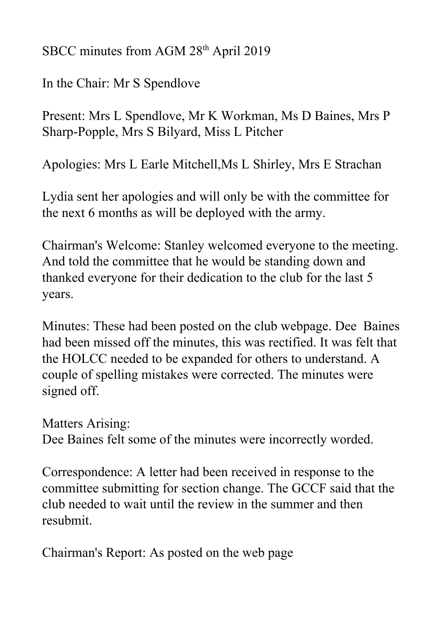SBCC minutes from AGM 28<sup>th</sup> April 2019

In the Chair: Mr S Spendlove

Present: Mrs L Spendlove, Mr K Workman, Ms D Baines, Mrs P Sharp-Popple, Mrs S Bilyard, Miss L Pitcher

Apologies: Mrs L Earle Mitchell,Ms L Shirley, Mrs E Strachan

Lydia sent her apologies and will only be with the committee for the next 6 months as will be deployed with the army.

Chairman's Welcome: Stanley welcomed everyone to the meeting. And told the committee that he would be standing down and thanked everyone for their dedication to the club for the last 5 years.

Minutes: These had been posted on the club webpage. Dee Baines had been missed off the minutes, this was rectified. It was felt that the HOLCC needed to be expanded for others to understand. A couple of spelling mistakes were corrected. The minutes were signed off.

Matters Arising:

Dee Baines felt some of the minutes were incorrectly worded.

Correspondence: A letter had been received in response to the committee submitting for section change. The GCCF said that the club needed to wait until the review in the summer and then resubmit.

Chairman's Report: As posted on the web page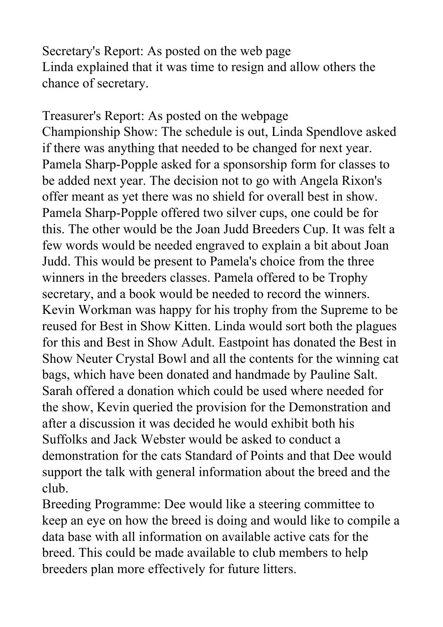Secretary's Report: As posted on the web page Linda explained that it was time to resign and allow others the chance of secretary.

Treasurer's Report: As posted on the webpage Championship Show: The schedule is out, Linda Spendlove asked if there was anything that needed to be changed for next year. Pamela Sharp-Popple asked for a sponsorship form for classes to be added next year. The decision not to go with Angela Rixon's offer meant as yet there was no shield for overall best in show. Pamela Sharp-Popple offered two silver cups, one could be for this. The other would be the Joan Judd Breeders Cup. It was felt a few words would be needed engraved to explain a bit about Joan Judd. This would be present to Pamela's choice from the three winners in the breeders classes. Pamela offered to be Trophy secretary, and a book would be needed to record the winners. Kevin Workman was happy for his trophy from the Supreme to be reused for Best in Show Kitten. Linda would sort both the plagues for this and Best in Show Adult. Eastpoint has donated the Best in Show Neuter Crystal Bowl and all the contents for the winning cat bags, which have been donated and handmade by Pauline Salt. Sarah offered a donation which could be used where needed for the show, Kevin queried the provision for the Demonstration and after a discussion it was decided he would exhibit both his Suffolks and Jack Webster would be asked to conduct a demonstration for the cats Standard of Points and that Dee would support the talk with general information about the breed and the club.

Breeding Programme: Dee would like a steering committee to keep an eye on how the breed is doing and would like to compile a data base with all information on available active cats for the breed. This could be made available to club members to help breeders plan more effectively for future litters.